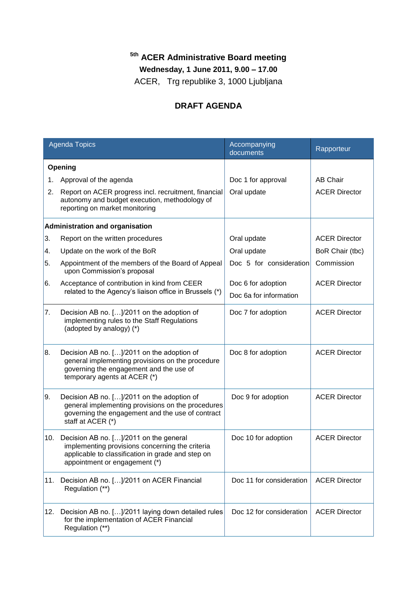## **5th ACER Administrative Board meeting**

**Wednesday, 1 June 2011, 9.00 – 17.00**

ACER, Trg republike 3, 1000 Ljubljana

## **DRAFT AGENDA**

| <b>Agenda Topics</b>                   |                                                                                                                                                                                 | Accompanying<br>documents | Rapporteur           |  |
|----------------------------------------|---------------------------------------------------------------------------------------------------------------------------------------------------------------------------------|---------------------------|----------------------|--|
| Opening                                |                                                                                                                                                                                 |                           |                      |  |
| 1.                                     | Approval of the agenda                                                                                                                                                          | Doc 1 for approval        | <b>AB Chair</b>      |  |
| 2.                                     | Report on ACER progress incl. recruitment, financial<br>autonomy and budget execution, methodology of<br>reporting on market monitoring                                         | Oral update               | <b>ACER Director</b> |  |
| <b>Administration and organisation</b> |                                                                                                                                                                                 |                           |                      |  |
| 3.                                     | Report on the written procedures                                                                                                                                                | Oral update               | <b>ACER Director</b> |  |
| 4.                                     | Update on the work of the BoR                                                                                                                                                   | Oral update               | BoR Chair (tbc)      |  |
| 5.                                     | Appointment of the members of the Board of Appeal<br>upon Commission's proposal                                                                                                 | Doc 5 for consideration   | Commission           |  |
| 6.                                     | Acceptance of contribution in kind from CEER<br>related to the Agency's liaison office in Brussels (*)                                                                          | Doc 6 for adoption        | <b>ACER Director</b> |  |
|                                        |                                                                                                                                                                                 | Doc 6a for information    |                      |  |
| 7.                                     | Decision AB no. []/2011 on the adoption of<br>implementing rules to the Staff Regulations<br>(adopted by analogy) (*)                                                           | Doc 7 for adoption        | <b>ACER Director</b> |  |
| 8.                                     | Decision AB no. []/2011 on the adoption of<br>general implementing provisions on the procedure<br>governing the engagement and the use of<br>temporary agents at ACER (*)       | Doc 8 for adoption        | <b>ACER Director</b> |  |
| 9.                                     | Decision AB no. []/2011 on the adoption of<br>general implementing provisions on the procedures<br>governing the engagement and the use of contract<br>staff at ACER (*)        | Doc 9 for adoption        | <b>ACER Director</b> |  |
| 10.                                    | Decision AB no. []/2011 on the general<br>implementing provisions concerning the criteria<br>applicable to classification in grade and step on<br>appointment or engagement (*) | Doc 10 for adoption       | <b>ACER Director</b> |  |
| 11.                                    | Decision AB no. []/2011 on ACER Financial<br>Regulation (**)                                                                                                                    | Doc 11 for consideration  | <b>ACER Director</b> |  |
| 12.                                    | Decision AB no. []/2011 laying down detailed rules<br>for the implementation of ACER Financial<br>Regulation (**)                                                               | Doc 12 for consideration  | <b>ACER Director</b> |  |